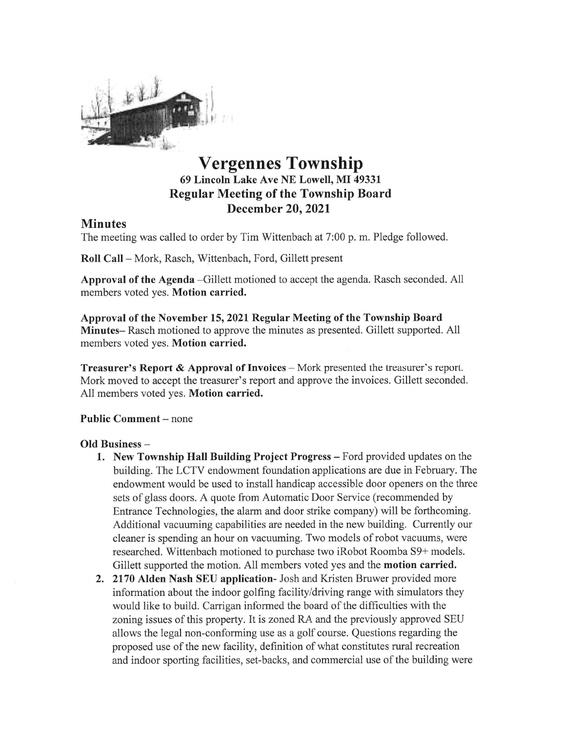

# Vergennes Township 69 Lincoln Lake Ave NE Lowell, MI 49331 Regular Meeting of the Township Board December 20, 2021

## **Minutes**

The meeting was called to order by Tim Wittenbach at 7:00 p. m. Pledge followed.

Roll Call - Mork, Rasch, Wittenbach, Ford, Gillett present

Approval of the Agenda -Gillett motioned to accept the agenda. Rasch seconded. All members voted yes. Motion carried.

Approval of the November 15, 2021 Regular Meeting of the Township Board Minutes- Rasch motioned to approve the minutes as presented. Gillett supported. All members voted yes. Motion carried.

**Treasurer's Report & Approval of Invoices**  $-$  Mork presented the treasurer's report. Mork moved to accept the treasurer's report and approve the invoices. Gillett seconded. All members voted yes. Motion carried.

#### Public Comment - none

### Old Business -

- 1. New Township Hall Building Project Progress Ford provided updates on the building. The LCTV endowment foundation applications are due in Febmary. The endowment would be used to install handicap accessible door openers on the three sets of glass doors. A quote from Automatic Door Service (recommended by Entrance Technologies, the alarm and door strike company) will be forthcoming. Additional vacuuming capabilities are needed in the new building. Currently our cleaner is spending an hour on vacuuming. Two models of robot vacuums, were researched. Wittenbach motioned to purchase two iRobot Roomba S9+ models. Gillett supported the motion. All members voted yes and the motion carried.
- 2. 2170 Alden Nash SEU application- Josh and Kristen Bruwer provided more information about the indoor golfing facility/driving range with simulators they would like to build. Carrigan informed the board of the difficulties with the zoning issues of this property. It is zoned RA and the previously approved SEU allows the legal non-conforming use as a golf course. Questions regarding the proposed use of the new facility, definition of what constitutes mral recreation and indoor sporting facilities, set-backs, and commercial use of the building were